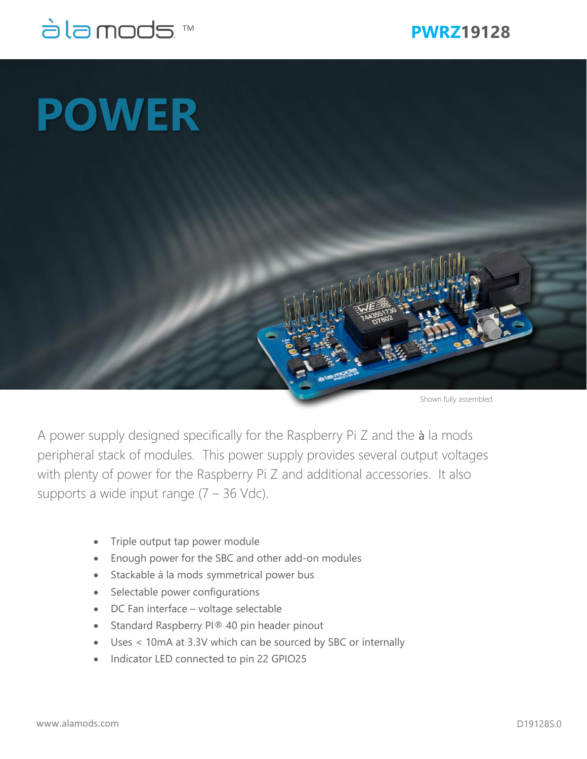

## **POWER**

Shown fully assembled

A power supply designed specifically for the Raspberry Pi Z and the à la mods peripheral stack of modules. This power supply provides several output voltages with plenty of power for the Raspberry Pi Z and additional accessories. It also supports a wide input range  $(7 - 36 \text{ Vdc})$ .

- Triple output tap power module
- Enough power for the SBC and other add-on modules
- Stackable à la mods symmetrical power bus
- Selectable power configurations
- DC Fan interface voltage selectable
- Standard Raspberry PI® 40 pin header pinout
- Uses < 10mA at 3.3V which can be sourced by SBC or internally
- Indicator LED connected to pin 22 GPIO25